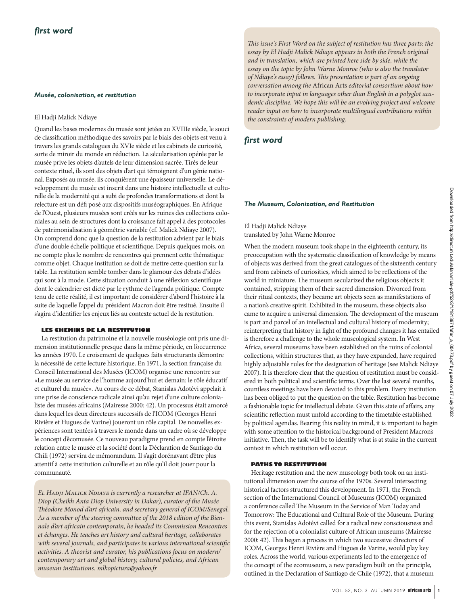## *Musée, colonisation, et restitution*

## El Hadji Malick Ndiaye

Quand les bases modernes du musée sont jetées au XVIIIe siècle, le souci de classification méthodique des savoirs par le biais des objets est venu à travers les grands catalogues du XVIe siècle et les cabinets de curiosité, sorte de miroir du monde en réduction. La sécularisation opérée par le musée prive les objets d'autels de leur dimension sacrée. Tirés de leur contexte rituel, ils sont des objets d'art qui témoignent d'un génie national. Exposés au musée, ils conquièrent une épaisseur universelle. Le développement du musée est inscrit dans une histoire intellectuelle et culturelle de la modernité qui a subi de profondes transformations et dont la relecture est un défi posé aux dispositifs muséographiques. En Afrique de l'Ouest, plusieurs musées sont créés sur les ruines des collections coloniales au sein de structures dont la croissance fait appel à des protocoles de patrimonialisation à géométrie variable (cf. Malick Ndiaye 2007). On comprend donc que la question de la restitution advient par le biais d'une double échelle politique et scientifique. Depuis quelques mois, on ne compte plus le nombre de rencontres qui prennent cette thématique comme objet. Chaque institution se doit de mettre cette question sur la table. La restitution semble tomber dans le glamour des débats d'idées qui sont à la mode. Cette situation conduit à une réflexion scientifique dont le calendrier est dicté par le rythme de l'agenda politique. Compte tenu de cette réalité, il est important de considérer d'abord l'histoire à la suite de laquelle l'appel du président Macron doit être resitué. Ensuite il s'agira d'identifier les enjeux liés au contexte actuel de la restitution.

## **LES CHEMINS DE LA RESTITUTION**

La restitution du patrimoine et la nouvelle muséologie ont pris une dimension institutionnelle presque dans la même période, en l'occurrence les années 1970. Le croisement de quelques faits structurants démontre la nécessité de cette lecture historique. En 1971, la section française du Conseil International des Musées (ICOM) organise une rencontre sur «Le musée au service de l'homme aujourd'hui et demain: le rôle éducatif et culturel du musée». Au cours de ce débat, Stanislas Adotévi appelait à une prise de conscience radicale ainsi qu'au rejet d'une culture colonialiste des musées africains (Mairesse 2000: 42). Un processus était amorcé dans lequel les deux directeurs successifs de l'ICOM (Georges Henri Rivière et Hugues de Varine) joueront un rôle capital. De nouvelles expériences sont tentées à travers le monde dans un cadre où se développe le concept d'écomusée. Ce nouveau paradigme prend en compte l'étroite relation entre le musée et la société dont la Déclaration de Santiago du Chili (1972) servira de mémorandum. Il s'agit dorénavant d'être plus attentif à cette institution culturelle et au rôle qu'il doit jouer pour la communauté.

*El Hadji Malick Ndiaye is currently a researcher at IFAN/Ch. A. Diop (Cheikh Anta Diop University in Dakar), curator of the Musée Théodore Monod d'art africain, and secretary general of ICOM/Senegal. As a member of the steering committee of the 2018 edition of the Biennale d'art africain contemporain, he headed its Commission Rencontres et échanges. He teaches art history and cultural heritage, collaborates with several journals, and participates in various international scientific activities. A theorist and curator, his publications focus on modern/ contemporary art and global history, cultural policies, and African museum institutions. mlkopictura@yahoo.fr*

*This issue's First Word on the subject of restitution has three parts: the essay by El Hadji Malick Ndiaye appears in both the French original and in translation, which are printed here side by side, while the essay on the topic by John Warne Monroe (who is also the translator of Ndiaye's essay) follows. This presentation is part of an ongoing conversation among the* African Arts *editorial consortium about how to incorporate input in languages other than English in a polyglot academic discipline. We hope this will be an evolving project and welcome reader input on how to incorporate multilingual contributions within the constraints of modern publishing.*

# *first word*

## *The Museum, Colonization, and Restitution*

# El Hadji Malick Ndiaye translated by John Warne Monroe

When the modern museum took shape in the eighteenth century, its preoccupation with the systematic classification of knowledge by means of objects was derived from the great catalogues of the sixteenth century and from cabinets of curiosities, which aimed to be reflections of the world in miniature. The museum secularized the religious objects it contained, stripping them of their sacred dimension. Divorced from their ritual contexts, they became art objects seen as manifestations of a nation's creative spirit. Exhibited in the museum, these objects also came to acquire a universal dimension. The development of the museum is part and parcel of an intellectual and cultural history of modernity; reinterpreting that history in light of the profound changes it has entailed is therefore a challenge to the whole museological system. In West Africa, several museums have been established on the ruins of colonial collections, within structures that, as they have expanded, have required highly adjustable rules for the designation of heritage (see Malick Ndiaye 2007). It is therefore clear that the question of restitution must be considered in both political and scientific terms. Over the last several months, countless meetings have been devoted to this problem. Every institution has been obliged to put the question on the table. Restitution has become a fashionable topic for intellectual debate. Given this state of affairs, any scientific reflection must unfold according to the timetable established by political agendas. Bearing this reality in mind, it is important to begin with some attention to the historical background of President Macron's initiative. Then, the task will be to identify what is at stake in the current context in which restitution will occur.

## **PATHS TO RESTITUTION**

Heritage restitution and the new museology both took on an institutional dimension over the course of the 1970s. Several intersecting historical factors structured this development. In 1971, the French section of the International Council of Museums (ICOM) organized a conference called The Museum in the Service of Man Today and Tomorrow: The Educational and Cultural Role of the Museum. During this event, Stanislas Adotévi called for a radical new consciousness and for the rejection of a colonialist culture of African museums (Mairesse 2000: 42). This began a process in which two successive directors of ICOM, Georges Henri Rivière and Hugues de Varine, would play key roles. Across the world, various experiments led to the emergence of the concept of the ecomuseum, a new paradigm built on the principle, outlined in the Declaration of Santiago de Chile (1972), that a museum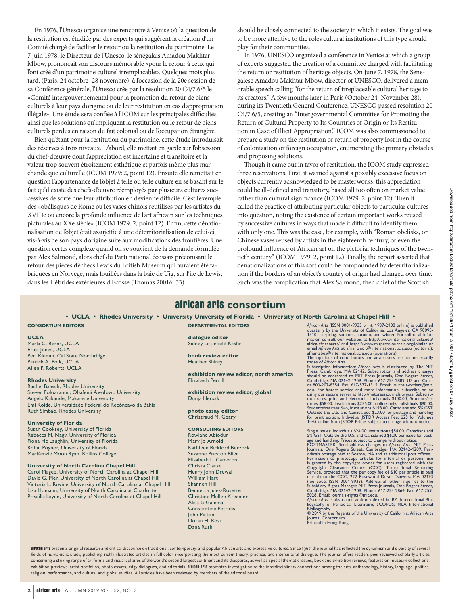En 1976, l'Unesco organise une rencontre à Venise où la question de la restitution est étudiée par des experts qui suggèrent la création d'un Comité chargé de faciliter le retour ou la restitution du patrimoine. Le 7 juin 1978, le Directeur de l'Unesco, le sénégalais Amadou Makhtar Mbow, prononçait son discours mémorable «pour le retour à ceux qui l'ont créé d'un patrimoine culturel irremplaçable». Quelques mois plus tard, (Paris, 24 octobre–28 novembre), à l'occasion de la 20e session de sa Conférence générale, l'Unesco crée par la résolution 20 C4/7.6/5 le «Comité intergouvernemental pour la promotion du retour de biens culturels à leur pays d'origine ou de leur restitution en cas d'appropriation illégale». Une étude sera confiée à l'ICOM sur les principales difficultés ainsi que les solutions qu'impliquent la restitution ou le retour de biens culturels perdus en raison du fait colonial ou de l'occupation étrangère.

Bien qu'étant pour la restitution du patrimoine, cette étude introduisait des réserves à trois niveaux. D'abord, elle mettait en garde sur l'obsession du chef-d'œuvre dont l'appréciation est incertaine et transitoire et la valeur trop souvent étroitement esthétique et parfois même plus marchande que culturelle (ICOM 1979: 2, point 12). Ensuite elle remettait en question l'appartenance de l'objet à telle ou telle culture en se basant sur le fait qu'il existe des chefs-d'œuvre réemployés par plusieurs cultures successives de sorte que leur attribution en devienne difficile. C'est l'exemple des «obélisques de Rome ou les vases chinois réutilisés par les artistes du XVIIIe ou encore la profonde influence de l'art africain sur les techniques picturales au XXe siècle» (ICOM 1979: 2, point 12). Enfin, cette dénationalisation de l'objet était assujettie à une déterritorialisation de celui-ci vis-à-vis de son pays d'origine suite aux modifications des frontières. Une question certes complexe quand on se souvient de la demande formulée par Alex Salmond, alors chef du Parti national écossais préconisant le retour des pièces d'échecs Lewis du British Museum qui auraient été fabriquées en Norvège, mais fouillées dans la baie de Uig, sur l'île de Lewis, dans les Hébrides extérieures d'Ecosse (Thomas 20016: 33).

should be closely connected to the society in which it exists. The goal was to be more attentive to the roles cultural institutions of this type should play for their communities.

In 1976, UNESCO organized a conference in Venice at which a group of experts suggested the creation of a committee charged with facilitating the return or restitution of heritage objects. On June 7, 1978, the Senegalese Amadou Makhtar Mbow, director of UNESCO, delivered a memorable speech calling "for the return of irreplaceable cultural heritage to its creators." A few months later in Paris (October 24–November 28), during its Twentieth General Conference, UNESCO passed resolution 20 C4/7.6/5, creating an "Intergovernmental Committee for Promoting the Return of Cultural Property to Its Countries of Origin or Its Restitution in Case of Illicit Appropriation." ICOM was also commissioned to prepare a study on the restitution or return of property lost in the course of colonization or foreign occupation, enumerating the primary obstacles and proposing solutions.

Though it came out in favor of restitution, the ICOM study expressed three reservations. First, it warned against a possibly excessive focus on objects currently acknowledged to be masterworks; this appreciation could be ill-defined and transitory, based all too often on market value rather than cultural significance (ICOM 1979: 2, point 12). Then it called the practice of attributing particular objects to particular cultures into question, noting the existence of certain important works reused by successive cultures in ways that made it difficult to identify them with only one. This was the case, for example, with "Roman obelisks, or Chinese vases reused by artists in the eighteenth century, or even the profound influence of African art on the pictorial techniques of the twentieth century" (ICOM 1979: 2, point 12). Finally, the report asserted that denationalizations of this sort could be compounded by deterritorialization if the borders of an object's country of origin had changed over time. Such was the complication that Alex Salmond, then chief of the Scottish

# **african arts consortium**

**• UCLA • Rhodes University • University University of Florida • University of North Carolina at Chapel Hill •**

## **CONSORTIUM EDITORS**

## **UCLA**

Marla C. Berns, UCLA Erica Jones, UCLA Peri Klemm, Cal State Northridge Patrick A. Polk, UCLA Allen F. Roberts, UCLA

#### **Rhodes University**

Rachel Baasch, Rhodes University Steven Foloaranmi, Obafemi Awolowo University Angelo Kakande, Makarere University Emi Koide, Universidade Federal do Recôncavo da Bahia Ruth Simbao, Rhodes University

#### **University of Florida**

Susan Cooksey, University of Florida Rebecca M. Nagy, University of Florida Fiona Mc Laughlin, University of Florida Robin Poynor, University of Florida MacKenzie Moon Ryan, Rollins College

## **University of North Carolina Chapel Hill**

Carol Magee, University of North Carolina at Chapel Hill David G. Pier, University of North Carolina at Chapel Hill Victoria L. Rovine, University of North Carolina at Chapel Hill Lisa Homann, University of North Carolina at Charlotte Priscilla Layne, University of North Carolina at Chapel Hill

**dialogue editor** Sidney Littlefield Kasfir

**DEPARTMENTAL EDITORS**

**book review editor** Heather Shirey

**exhibition review editor, north america** Elizabeth Perrill

**exhibition review editor, global** Dunja Hersak

**photo essay editor** Christraud M. Geary

#### **CONSULTING EDITORS**

Rowland Abiodun Mary Jo Arnoldi Kathleen Bickford Berzock Suzanne Preston Blier Elisabeth L. Cameron Christa Clarke Henry John Drewal William Hart Shannen Hill Bennetta Jules-Rosette Christine Mullen Kreamer Alisa LaGamma Constantine Petridis John Picton Doran H. Ross Dana Rush

African Arts (ISSN 0001-9933 print, 1937-2108 online) is published quarterly by the University of California, Los Angeles, CA 90095-1310, in spring, summer, autumn, and winter. For editorial information consult our website

The opinions of contributors and advertisers are not necessarily<br>the opinions of contributors and advertisers are not metally<br>Subscription information: African Arts is distributed by The MIT<br>Press, Cambridge, MA 02142. Sub edu. For fastest service and more information, subscribe online<br>using our secure server at http://mitrenesipiourals.org/aa. Subscrip-<br>tion rates: print and electronic, Individuals \$100.00, Students/re-<br>tiress \$58.00, Insti

Single issues: Individuals \$24.00; institutions \$54.00. Canadians add \$8.63 GST. Outside the U.S. and Canada add \$6.00 per issue for post-<br>age and handling. Prices subject to change without notice.<br>POSTMASTER: Send address

© 2019 by the Regents of the University of California. African Arts<br>Journal Consortium<br>Printed in Hong Kong.

alrican arts presents original research and critical discourse on traditional, contemporary, and popular African arts and expressive cultures. Since 1967, the journal has reflected the dynamism and diversity of several fields of humanistic study, publishing richly illustrated articles in full color, incorporating the most current theory, practice, and intercultural dialogue. The journal offers readers peer-reviewed scholarly articles concerning a striking range of art forms and visual cultures of the world's second-largest continent and its diasporas, as well as special thematic issues, book and exhibition reviews, features on museum collections, exhibition previews, artist portfolios, photo essays, edgy dialogues, and editorials. **african arts** promotes investigation of the interdisciplinary connections among the arts, anthropology, history, language, politics, religion, performance, and cultural and global studies. All articles have been reviewed by members of the editorial board.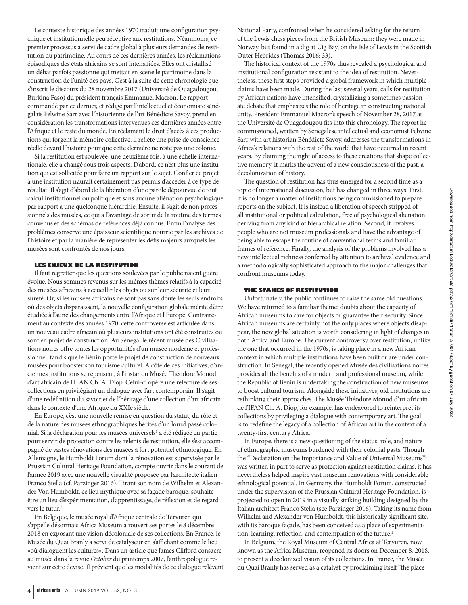Le contexte historique des années 1970 traduit une configuration psychique et institutionnelle peu réceptive aux restitutions. Néanmoins, ce premier processus a servi de cadre global à plusieurs demandes de restitution du patrimoine. Au cours de ces dernières années, les réclamations épisodiques des états africains se sont intensifiées. Elles ont cristallisé un débat parfois passionné qui mettait en scène le patrimoine dans la construction de l'unité des pays. C'est à la suite de cette chronologie que s'inscrit le discours du 28 novembre 2017 (Université de Ouagadougou, Burkina Faso) du président français Emmanuel Macron. Le rapport commandé par ce dernier, et rédigé par l'intellectuel et économiste sénégalais Felwine Sarr avec l'historienne de l'art Bénédicte Savoy, prend en considération les transformations intervenues ces dernières années entre l'Afrique et le reste du monde. En réclamant le droit d'accès à ces productions qui forgent la mémoire collective, il reflète une prise de conscience réelle devant l'histoire pour que cette dernière ne reste pas une colonie.

Si la restitution est soulevée, une deuxième fois, à une échelle internationale, elle a changé sous trois aspects. D'abord, ce n'est plus une institution qui est sollicitée pour faire un rapport sur le sujet. Confier ce projet à une institution n'aurait certainement pas permis d'accéder à ce type de résultat. Il s'agit d'abord de la libération d'une parole dépourvue de tout calcul institutionnel ou politique et sans aucune aliénation psychologique par rapport à une quelconque hiérarchie. Ensuite, il s'agit de non professionnels des musées, ce qui a l'avantage de sortir de la routine des termes convenus et des schémas de références déjà connus. Enfin l'analyse des problèmes conserve une épaisseur scientifique nourrie par les archives de l'histoire et par la manière de représenter les défis majeurs auxquels les musées sont confrontés de nos jours.

## **LES ENJEUX DE LA RESTITUTION**

Il faut regretter que les questions soulevées par le public n'aient guère évolué. Nous sommes revenus sur les mêmes thèmes relatifs à la capacité des musées africains à accueillir les objets ou sur leur sécurité et leur sureté. Or, si les musées africains ne sont pas sans doute les seuls endroits où des objets disparaissent, la nouvelle configuration globale mérite d'être étudiée à l'aune des changements entre l'Afrique et l'Europe. Contrairement au contexte des années 1970, cette controverse est articulée dans un nouveau cadre africain où plusieurs institutions ont été construites ou sont en projet de construction. Au Sénégal le récent musée des Civilisations noires offre toutes les opportunités d'un musée moderne et professionnel, tandis que le Bénin porte le projet de construction de nouveaux musées pour booster son tourisme culturel. A côté de ces initiatives, d'anciennes institutions se repensent, à l'instar du Musée Théodore Monod d'art africain de l'IFAN Ch. A. Diop. Celui-ci opère une relecture de ses collections en privilégiant un dialogue avec l'art contemporain. Il s'agit d'une redéfinition du savoir et de l'héritage d'une collection d'art africain dans le contexte d'une Afrique du XXIe siècle.

En Europe, c'est une nouvelle remise en question du statut, du rôle et de la nature des musées ethnographiques hérités d'un lourd passé colonial. Si la déclaration pour les musées universels<sup>1</sup> a été rédigée en partie pour servir de protection contre les relents de restitution, elle s'est accompagné de vastes rénovations des musées à fort potentiel ethnologique. En Allemagne, le Humboldt Forum dont la rénovation est supervisée par le Prussian Cultural Heritage Foundation, compte ouvrir dans le courant de l'année 2019 avec une nouvelle visualité proposée par l'architecte italien Franco Stella (cf. Parzinger 2016). Tirant son nom de Wilhelm et Alexander Von Humboldt, ce lieu mythique avec sa façade baroque, souhaite être un lieu d'expérimentation, d'apprentissage, de réflexion et de regard vers le futur.<sup>2</sup>

En Belgique, le musée royal d'Afrique centrale de Tervuren qui s'appelle désormais Africa Museum a rouvert ses portes le 8 décembre 2018 en exposant une vision décoloniale de ses collections. En France, le Musée du Quai Branly a servi de catalyseur en s'affichant comme le lieu «où dialoguent les cultures». Dans un article que James Clifford consacre au musée dans la revue *October* du printemps 2007, l'anthropologue revient sur cette devise. Il prévient que les modalités de ce dialogue relèvent National Party, confronted when he considered asking for the return of the Lewis chess pieces from the British Museum: they were made in Norway, but found in a dig at Uig Bay, on the Isle of Lewis in the Scottish Outer Hebrides (Thomas 2016: 33).

The historical context of the 1970s thus revealed a psychological and institutional configuration resistant to the idea of restitution. Nevertheless, these first steps provided a global framework in which multiple claims have been made. During the last several years, calls for restitution by African nations have intensified, crystallizing a sometimes passionate debate that emphasizes the role of heritage in constructing national unity. President Emmanuel Macron's speech of November 28, 2017 at the Université de Ouagadougou fits into this chronology. The report he commissioned, written by Senegalese intellectual and economist Felwine Sarr with art historian Bénédicte Savoy, addresses the transformations in Africa's relations with the rest of the world that have occurred in recent years. By claiming the right of access to these creations that shape collective memory, it marks the advent of a new consciousness of the past, a decolonization of history.

The question of restitution has thus emerged for a second time as a topic of international discussion, but has changed in three ways. First, it is no longer a matter of institutions being commissioned to prepare reports on the subject. It is instead a liberation of speech stripped of all institutional or political calculation, free of psychological alienation deriving from any kind of hierarchical relation. Second, it involves people who are not museum professionals and have the advantage of being able to escape the routine of conventional terms and familiar frames of reference. Finally, the analysis of the problems involved has a new intellectual richness conferred by attention to archival evidence and a methodologically sophisticated approach to the major challenges that confront museums today.

## **THE STAKES OF RESTITUTION**

Unfortunately, the public continues to raise the same old questions. We have returned to a familiar theme: doubts about the capacity of African museums to care for objects or guarantee their security. Since African museums are certainly not the only places where objects disappear, the new global situation is worth considering in light of changes in both Africa and Europe. The current controversy over restitution, unlike the one that occurred in the 1970s, is taking place in a new African context in which multiple institutions have been built or are under construction. In Senegal, the recently opened Musée des civilisations noires provides all the benefits of a modern and professional museum, while the Republic of Benin is undertaking the construction of new museums to boost cultural tourism. Alongside these initiatives, old institutions are rethinking their approaches. The Musée Théodore Monod d'art africain de l'IFAN Ch. A. Diop, for example, has endeavored to reinterpret its collections by privileging a dialogue with contemporary art. The goal is to redefine the legacy of a collection of African art in the context of a twenty-first century Africa.

In Europe, there is a new questioning of the status, role, and nature of ethnographic museums burdened with their colonial pasts. Though the "Declaration on the Importance and Value of Universal Museums"<sup>1</sup> was written in part to serve as protection against restitution claims, it has nevertheless helped inspire vast museum renovations with considerable ethnological potential. In Germany, the Humboldt Forum, constructed under the supervision of the Prussian Cultural Heritage Foundation, is projected to open in 2019 in a visually striking building designed by the Italian architect Franco Stella (see Parzinger 2016). Taking its name from Wilhelm and Alexander von Humboldt, this historically significant site, with its baroque façade, has been conceived as a place of experimentation, learning, reflection, and contemplation of the future.<sup>2</sup>

In Belgium, the Royal Museum of Central Africa at Tervuren, now known as the Africa Museum, reopened its doors on December 8, 2018, to present a decolonized vision of its collections. In France, the Musée du Quai Branly has served as a catalyst by proclaiming itself "the place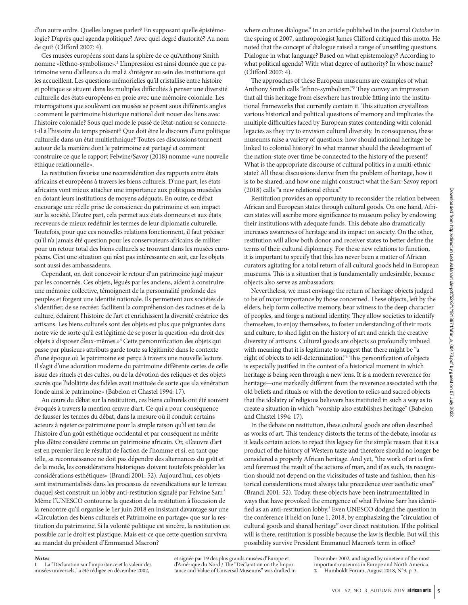d'un autre ordre. Quelles langues parler? En supposant quelle épistémologie? D'après quel agenda politique? Avec quel degré d'autorité? Au nom de qui? (Clifford 2007: 4).

Ces musées européens sont dans la sphère de ce qu'Anthony Smith nomme «l'ethno-symbolisme».3 L'impression est ainsi donnée que ce patrimoine venu d'ailleurs a du mal à s'intégrer au sein des institutions qui les accueillent. Les questions mémorielles qu'il cristallise entre histoire et politique se situent dans les multiples difficultés à penser une diversité culturelle des états européens en proie avec une mémoire coloniale. Les interrogations que soulèvent ces musées se posent sous différents angles : comment le patrimoine historique national doit nouer des liens avec l'histoire coloniale? Sous quel mode le passé de l'état-nation se connectet-il à l'histoire du temps présent? Que doit être le discours d'une politique culturelle dans un état multiethnique? Toutes ces discussions tournent autour de la manière dont le patrimoine est partagé et comment construire ce que le rapport Felwine/Savoy (2018) nomme «une nouvelle éthique relationnelle».

La restitution favorise une reconsidération des rapports entre états africains et européens à travers les biens culturels. D'une part, les états africains vont mieux attacher une importance aux politiques muséales en dotant leurs institutions de moyens adéquats. En outre, ce débat encourage une réelle prise de conscience du patrimoine et son impact sur la société. D'autre part, cela permet aux états donneurs et aux états receveurs de mieux redéfinir les termes de leur diplomatie culturelle. Toutefois, pour que ces nouvelles relations fonctionnent, il faut préciser qu'il n'a jamais été question pour les conservateurs africains de militer pour un retour total des biens culturels se trouvant dans les musées européens. C'est une situation qui n'est pas intéressante en soit, car les objets sont aussi des ambassadeurs.

Cependant, on doit concevoir le retour d'un patrimoine jugé majeur par les concernés. Ces objets, légués par les anciens, aident à construire une mémoire collective, témoignent de la personnalité profonde des peuples et forgent une identité nationale. Ils permettent aux sociétés de s'identifier, de se recréer, facilitent la compréhension des racines et de la culture, éclairent l'histoire de l'art et enrichissent la diversité créatrice des artisans. Les biens culturels sont des objets est plus que prégnantes dans notre vie de sorte qu'il est légitime de se poser la question «du droit des objets à disposer d'eux-mêmes.»4 Cette personnification des objets qui passe par plusieurs attributs garde toute sa légitimité dans le contexte d'une époque où le patrimoine est perçu à travers une nouvelle lecture. Il s'agit d'une adoration moderne du patrimoine différente certes de celle issue des rituels et des cultes, ou de la dévotion des reliques et des objets sacrés que l'idolâtrie des fidèles avait instituée de sorte que «la vénération fonde ainsi le patrimoine» (Babelon et Chastel 1994: 17).

Au cours du débat sur la restitution, ces biens culturels ont été souvent évoqués à travers la mention œuvre d'art. Ce qui a pour conséquence de fausser les termes du débat, dans la mesure où il conduit certains acteurs à rejeter ce patrimoine pour la simple raison qu'il est issu de l'histoire d'un goût esthétique occidental et par conséquent ne mérite plus d'être considéré comme un patrimoine africain. Or, «L'œuvre d'art est en premier lieu le résultat de l'action de l'homme et si, en tant que telle, sa reconnaissance ne doit pas dépendre des alternances du goût et de la mode, les considérations historiques doivent toutefois précéder les considérations esthétiques» (Brandi 2001: 52). Aujourd'hui, ces objets sont instrumentalisés dans les processus de revendications sur le terreau duquel s'est construit un lobby anti-restitution signalé par Felwine Sarr.<sup>5</sup> Même l'UNESCO contourne la question de la restitution à l'occasion de la rencontre qu'il organise le 1er juin 2018 en insistant davantage sur une «Circulation des biens culturels et Patrimoine en partage» que sur la restitution du patrimoine. Si la volonté politique est sincère, la restitution est possible car le droit est plastique. Mais est-ce que cette question survivra au mandat du président d'Emmanuel Macron?

where cultures dialogue." In an article published in the journal *October* in the spring of 2007, anthropologist James Clifford critiqued this motto. He noted that the concept of dialogue raised a range of unsettling questions. Dialogue in what language? Based on what epistemology? According to what political agenda? With what degree of authority? In whose name? (Clifford 2007: 4).

The approaches of these European museums are examples of what Anthony Smith calls "ethno-symbolism."3 They convey an impression that all this heritage from elsewhere has trouble fitting into the institutional frameworks that currently contain it. This situation crystallizes various historical and political questions of memory and implicates the multiple difficulties faced by European states contending with colonial legacies as they try to envision cultural diversity. In consequence, these museums raise a variety of questions: how should national heritage be linked to colonial history? In what manner should the development of the nation-state over time be connected to the history of the present? What is the appropriate discourse of cultural politics in a multi-ethnic state? All these discussions derive from the problem of heritage, how it is to be shared, and how one might construct what the Sarr-Savoy report (2018) calls "a new relational ethics."

Restitution provides an opportunity to reconsider the relation between African and European states through cultural goods. On one hand, African states will ascribe more significance to museum policy by endowing their institutions with adequate funds. This debate also dramatically increases awareness of heritage and its impact on society. On the other, restitution will allow both donor and receiver states to better define the terms of their cultural diplomacy. For these new relations to function, it is important to specify that this has never been a matter of African curators agitating for a total return of all cultural goods held in European museums. This is a situation that is fundamentally undesirable, because objects also serve as ambassadors.

Nevertheless, we must envisage the return of heritage objects judged to be of major importance by those concerned. These objects, left by the elders, help form collective memory, bear witness to the deep character of peoples, and forge a national identity. They allow societies to identify themselves, to enjoy themselves, to foster understanding of their roots and culture, to shed light on the history of art and enrich the creative diversity of artisans. Cultural goods are objects so profoundly imbued with meaning that it is legitimate to suggest that there might be "a right of objects to self-determination."4 This personification of objects is especially justified in the context of a historical moment in which heritage is being seen through a new lens. It is a modern reverence for heritage—one markedly different from the reverence associated with the old beliefs and rituals or with the devotion to relics and sacred objects that the idolatry of religious believers has instituted in such a way as to create a situation in which "worship also establishes heritage" (Babelon and Chastel 1994: 17).

In the debate on restitution, these cultural goods are often described as works of art. This tendency distorts the terms of the debate, insofar as it leads certain actors to reject this legacy for the simple reason that it is a product of the history of Western taste and therefore should no longer be considered a properly African heritage. And yet, "the work of art is first and foremost the result of the actions of man, and if as such, its recognition should not depend on the vicissitudes of taste and fashion, then historical considerations must always take precedence over aesthetic ones" (Brandi 2001: 52). Today, these objects have been instrumentalized in ways that have provoked the emergence of what Felwine Sarr has identified as an anti-restitution lobby.<sup>5</sup> Even UNESCO dodged the question in the conference it held on June 1, 2018, by emphasizing the "circulation of cultural goods and shared heritage" over direct restitution. If the political will is there, restitution is possible because the law is flexible. But will this possibility survive President Emmanuel Macron's term in office?

## *Notes*

**1** La "Déclaration sur l'importance et la valeur des musées universels," a été rédigée en décembre 2002,

et signée par 19 des plus grands musées d'Europe et d'Amérique du Nord / The "Declaration on the Importance and Value of Universal Museums" was drafted in

December 2002, and signed by nineteen of the most important museums in Europe and North America. **2** Humboldt Forum, August 2018, N°3, p. 3.